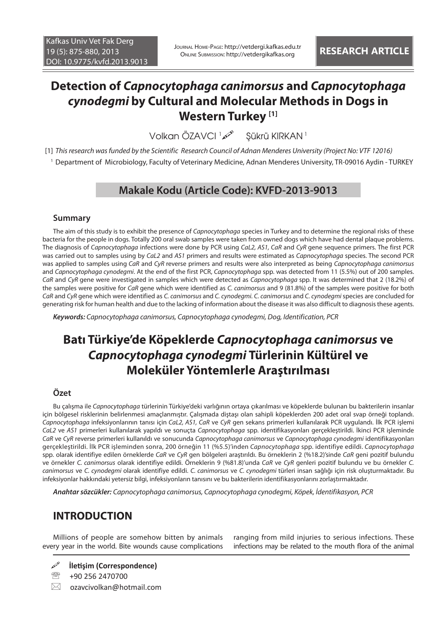# **Detection of** *Capnocytophaga canimorsus* **and** *Capnocytophaga cynodegmi* **by Cultural and Molecular Methods in Dogs in Western Turkey [1]**

Volkan ÖZAVCI 1 Şükrü KIRKAN<sup>1</sup>

[1] *This research was funded by the Scientific Research Council of Adnan Menderes University (Project No: VTF 12016)* 1 Department of Microbiology, Faculty of Veterinary Medicine, Adnan Menderes University, TR-09016 Aydin - TURKEY

## **Makale Kodu (Article Code): KVFD-2013-9013**

### **Summary**

The aim of this study is to exhibit the presence of *Capnocytophaga* species in Turkey and to determine the regional risks of these bacteria for the people in dogs. Totally 200 oral swab samples were taken from owned dogs which have had dental plaque problems. The diagnosis of *Capnocytophaga* infections were done by PCR using *CaL2, AS1, CaR* and *CyR* gene sequence primers. The first PCR was carried out to samples using by *CaL2* and *AS1* primers and results were estimated as *Capnocytophaga* species. The second PCR was applied to samples using *CaR* and *CyR* reverse primers and results were also interpreted as being *Capnocytophaga canimorsus*  and *Capnocytophaga cynodegmi*. At the end of the first PCR, *Capnocytophaga* spp. was detected from 11 (5.5%) out of 200 samples. *CaR* and *CyR* gene were investigated in samples which were detected as *Capnocytophaga* spp. It was determined that 2 (18.2%) of the samples were positive for *CaR* gene which were identified as *C. canimorsus* and 9 (81.8%) of the samples were positive for both *CaR* and *CyR* gene which were identified as *C. canimorsus* and *C. cynodegmi. C. canimorsus* and *C. cynodegmi* species are concluded for generating risk for human health and due to the lacking of information about the disease it was also difficult to diagnosis these agents.

*Keywords: Capnocytophaga canimorsus, Capnocytophaga cynodegmi, Dog, Identification, PCR*

# **Batı Türkiye'de Köpeklerde** *Capnocytophaga canimorsus* **ve**  *Capnocytophaga cynodegmi* **Türlerinin Kültürel ve Moleküler Yöntemlerle Araştırılması**

### **Özet**

Bu çalışma ile *Capnocytophaga* türlerinin Türkiye'deki varlığının ortaya çıkarılması ve köpeklerde bulunan bu bakterilerin insanlar için bölgesel risklerinin belirlenmesi amaçlanmıştır. Çalışmada diştaşı olan sahipli köpeklerden 200 adet oral svap örneği toplandı. *Capnocytophaga* infeksiyonlarının tanısı için *CaL2, AS1, CaR* ve *CyR* gen sekans primerleri kullanılarak PCR uygulandı. İlk PCR işlemi *CaL2* ve *AS1* primerleri kullanılarak yapıldı ve sonuçta *Capnocytophaga* spp. identifikasyonları gerçekleştirildi. İkinci PCR işleminde *CaR* ve *CyR* reverse primerleri kullanıldı ve sonucunda *Capnocytophaga canimorsus* ve *Capnocytophaga cynodegmi* identifikasyonları gerçekleştirildi. İlk PCR işleminden sonra, 200 örneğin 11 (%5.5)'inden *Capnocytophaga* spp. identifiye edildi. *Capnocytophaga* spp. olarak identifiye edilen örneklerde *CaR* ve *CyR* gen bölgeleri araştırıldı. Bu örneklerin 2 (%18.2)'sinde *CaR* geni pozitif bulundu ve örnekler *C. canimorsus* olarak identifiye edildi. Örneklerin 9 (%81.8)'unda *CaR* ve *CyR* genleri pozitif bulundu ve bu örnekler *C. canimorsus* ve *C. cynodegmi* olarak identifiye edildi. *C. canimorsus* ve *C. cynodegmi* türleri insan sağlığı için risk oluşturmaktadır. Bu infeksiyonlar hakkındaki yetersiz bilgi, infeksiyonların tanısını ve bu bakterilerin identifikasyonlarını zorlaştırmaktadır.

*Anahtar sözcükler: Capnocytophaga canimorsus, Capnocytophaga cynodegmi, Köpek, İdentifikasyon, PCR*

## **INTRODUCTION**

Millions of people are somehow bitten by animals every year in the world. Bite wounds cause complications

ranging from mild injuries to serious infections. These infections may be related to the mouth flora of the animal

- **İletişim (Correspondence)**
- <sup>2</sup> +90 256 2470700
- $\boxtimes$  ozavcivolkan@hotmail.com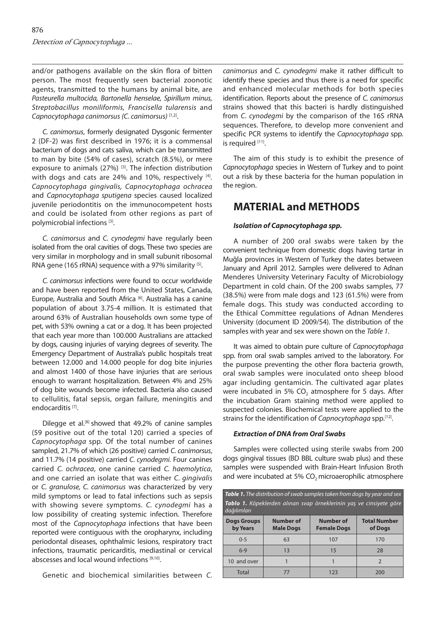and/or pathogens available on the skin flora of bitten person. The most frequently seen bacterial zoonotic agents, transmitted to the humans by animal bite, are *Pasteurella multocida, Bartonella henselae, Spirillum minus, Streptobacillus moniliformis, Francisella tularensis* and *Capnocytophaga canimorsus (C. canimorsus)* [1,2].

*C. canimorsus*, formerly designated Dysgonic fermenter 2 (DF-2) was first described in 1976; it is a commensal bacterium of dogs and cats saliva, which can be transmitted to man by bite (54% of cases), scratch (8.5%), or mere exposure to animals  $(27%)$  <sup>[3]</sup>. The infection distribution with dogs and cats are 24% and 10%, respectively [4]. *Capnocytophaga gingivalis, Capnocytophaga ochracea*  and *Capnocytophaga sputigena* species caused localized juvenile periodontitis on the immunocompetent hosts and could be isolated from other regions as part of polymicrobial infections [3].

*C. canimorsus* and *C. cynodegmi* have regularly been isolated from the oral cavities of dogs. These two species are very similar in morphology and in small subunit ribosomal RNA gene (16S rRNA) sequence with a 97% similarity  $[5]$ .

*C. canimorsus* infections were found to occur worldwide and have been reported from the United States, Canada, Europe, Australia and South Africa<sup>[6]</sup>. Australia has a canine population of about 3.75-4 million. It is estimated that around 63% of Australian households own some type of pet, with 53% owning a cat or a dog. It has been projected that each year more than 100.000 Australians are attacked by dogs, causing injuries of varying degrees of severity. The Emergency Department of Australia's public hospitals treat between 12.000 and 14.000 people for dog bite injuries and almost 1400 of those have injuries that are serious enough to warrant hospitalization. Between 4% and 25% of dog bite wounds become infected. Bacteria also caused to cellulitis, fatal sepsis, organ failure, meningitis and endocarditis [7].

Dilegge et al.<sup>[8]</sup> showed that 49.2% of canine samples (59 positive out of the total 120) carried a species of *Capnocytophaga* spp. Of the total number of canines sampled, 21.7% of which (26 positive) carried *C. canimorsus*, and 11.7% (14 positive) carried *C. cynodegmi*. Four canines carried *C. ochracea*, one canine carried *C. haemolytica*, and one carried an isolate that was either *C. gingivalis* or *C. granulose, C. canimorsus* was characterized by very mild symptoms or lead to fatal infections such as sepsis with showing severe symptoms. *C. cynodegmi* has a low possibility of creating systemic infection. Therefore most of the *Capnocytophaga* infections that have been reported were contiguous with the oropharynx, including periodontal diseases, ophthalmic lesions, respiratory tract infections, traumatic pericarditis, mediastinal or cervical abscesses and local wound infections [9,10].

Genetic and biochemical similarities between *C.* 

*canimorsus* and *C. cynodegmi* make it rather difficult to identify these species and thus there is a need for specific and enhanced molecular methods for both species identification. Reports about the presence of *C. canimorsus* strains showed that this bacteri is hardly distinguished from *C. cynodegmi* by the comparison of the 16S rRNA sequences. Therefore, to develop more convenient and specific PCR systems to identify the *Capnocytophaga* spp. is required [11].

The aim of this study is to exhibit the presence of *Capnocytophaga* species in Western of Turkey and to point out a risk by these bacteria for the human population in the region.

### **MATERIAL and METHODS**

#### *Isolation of Capnocytophaga spp.*

A number of 200 oral swabs were taken by the convenient technique from domestic dogs having tartar in Muğla provinces in Western of Turkey the dates between January and April 2012. Samples were delivered to Adnan Menderes University Veterinary Faculty of Microbiology Department in cold chain. Of the 200 swabs samples, 77 (38.5%) were from male dogs and 123 (61.5%) were from female dogs. This study was conducted according to the Ethical Committee regulations of Adnan Menderes University (document ID 2009/54). The distribution of the samples with year and sex were shown on the *Table 1*.

It was aimed to obtain pure culture of *Capnocytophaga*  spp. from oral swab samples arrived to the laboratory. For the purpose preventing the other flora bacteria growth, oral swab samples were inoculated onto sheep blood agar including gentamicin. The cultivated agar plates were incubated in 5% CO<sub>2</sub> atmosphere for 5 days. After the incubation Gram staining method were applied to suspected colonies. Biochemical tests were applied to the strains for the identification of *Capnocytophaga* spp.[12].

#### *Extraction of DNA from Oral Swabs*

Samples were collected using sterile swabs from 200 dogs gingival tissues (BD BBL culture swab plus) and these samples were suspended with Brain-Heart Infusion Broth and were incubated at 5% CO<sub>2</sub> microaerophilic atmosphere

| <b>Table 1.</b> The distribution of swab samples taken from dogs by year and sex   |                                      |                                 |                                |  |  |  |
|------------------------------------------------------------------------------------|--------------------------------------|---------------------------------|--------------------------------|--|--|--|
| Tablo 1. Köpeklerden alınan svap örneklerinin yaş ve cinsiyete göre<br>dağılımları |                                      |                                 |                                |  |  |  |
| <b>Dogs Groups</b><br>by Years                                                     | <b>Number of</b><br><b>Male Dogs</b> | Number of<br><b>Female Dogs</b> | <b>Total Number</b><br>of Dogs |  |  |  |
| $0 - 5$                                                                            | 63                                   | 107                             | 170                            |  |  |  |
| $6 - 9$                                                                            | 13                                   | 15                              | 28                             |  |  |  |
| 10 and over                                                                        |                                      |                                 | $\overline{2}$                 |  |  |  |
| Total                                                                              | 77                                   | 123                             | 200                            |  |  |  |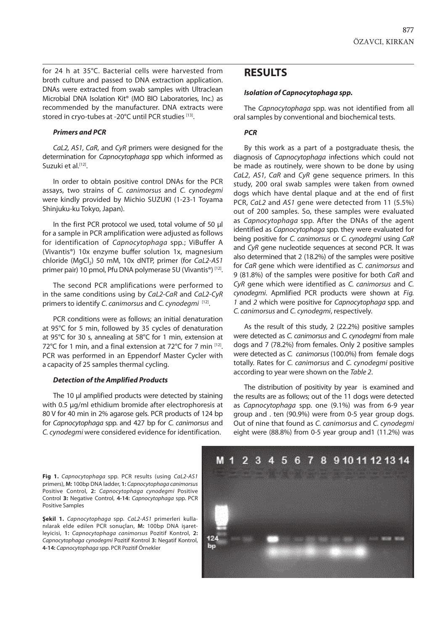for 24 h at 35°C. Bacterial cells were harvested from broth culture and passed to DNA extraction application. DNAs were extracted from swab samples with Ultraclean Microbial DNA Isolation Kit® (MO BIO Laboratories, Inc.) as recommended by the manufacturer. DNA extracts were stored in cryo-tubes at -20°C until PCR studies [13].

#### *Primers and PCR*

*CaL2, AS1, CaR*, and *CyR* primers were designed for the determination for *Capnocytophaga* spp which informed as Suzuki et al.<sup>[12]</sup>.

In order to obtain positive control DNAs for the PCR assays, two strains of *C. canimorsus* and *C. cynodegmi*  were kindly provided by Michio SUZUKI (1-23-1 Toyama Shinjuku-ku Tokyo, Japan).

In the first PCR protocol we used, total volume of 50 µl for a sample in PCR amplification were adjusted as follows for identification of *Capnocytophaga* spp*.*; ViBuffer A (Vivantis®) 10x enzyme buffer solution 1x, magnesium chloride (MgCl<sub>2</sub>) 50 mM, 10x dNTP, primer (for *CaL2-AS1* primer pair) 10 pmol, Pfu DNA polymerase 5U (Vivantis®) [12].

The second PCR amplifications were performed to in the same conditions using by *CaL2-CaR* and *CaL2-CyR* primers to identify *C. canimorsus* and *C. cynodegmi* [12].

PCR conditions were as follows; an initial denaturation at 95°C for 5 min, followed by 35 cycles of denaturation at 95°C for 30 s, annealing at 58°C for 1 min, extension at 72°C for 1 min, and a final extension at 72°C for 7 min  $[12]$ . PCR was performed in an Eppendorf Master Cycler with a capacity of 25 samples thermal cycling.

#### *Detection of the Amplified Products*

The 10 μl amplified products were detected by staining with 0.5 μg/ml ethidium bromide after electrophoresis at 80 V for 40 min in 2% agarose gels. PCR products of 124 bp for *Capnocytophaga* spp. and 427 bp for *C. canimorsus* and *C. cynodegmi* were considered evidence for identification.

### **RESULTS**

#### *Isolation of Capnocytophaga spp.*

The *Capnocytophaga* spp. was not identified from all oral samples by conventional and biochemical tests.

#### *PCR*

By this work as a part of a postgraduate thesis, the diagnosis of *Capnocytophaga* infections which could not be made as routinely, were shown to be done by using *CaL2*, *AS1, CaR* and *CyR* gene sequence primers. In this study, 200 oral swab samples were taken from owned dogs which have dental plaque and at the end of first PCR, *CaL2* and *AS1* gene were detected from 11 (5.5%) out of 200 samples. So, these samples were evaluated as *Capnocytophaga* spp. After the DNAs of the agent identified as *Capnocytophaga* spp. they were evaluated for being positive for *C. canimorsus* or *C. cynodegmi* using *CaR* and *CyR* gene nucleotide sequences at second PCR. It was also determined that 2 (18.2%) of the samples were positive for *CaR* gene which were identified as *C. canimorsus* and 9 (81.8%) of the samples were positive for both *CaR* and *CyR* gene which were identified as *C. canimorsus* and *C. cynodegmi*. Apmlified PCR products were shown at *Fig. 1* and *2* which were positive for *Capnocytophaga* spp. and *C. canimorsus* and *C. cynodegmi*, respectively.

As the result of this study, 2 (22.2%) positive samples were detected as *C. canimorsus* and *C. cynodegmi* from male dogs and 7 (78.2%) from females. Only 2 positive samples were detected as *C. canimorsus* (100.0%) from female dogs totally. Rates for *C. canimorsus* and *C. cynodegmi* positive according to year were shown on the *Table 2*.

The distribution of positivity by year is examined and the results are as follows; out of the 11 dogs were detected as *Capnocytophaga* spp. one (9.1%) was from 6-9 year group and . ten (90.9%) were from 0-5 year group dogs. Out of nine that found as *C. canimorsus* and *C. cynodegmi* eight were (88.8%) from 0-5 year group and1 (11.2%) was

**Fig 1.** *Capnocytophaga* spp. PCR results (using *CaL2*-*AS1* primers), **M:** 100bp DNA ladder, **1:** *Capnocytophaga canimorsus* Positive Control, **2:** *Capnocytophaga cynodegmi* Positive Control **3:** Negative Control, **4-14:** *Capnocytophaga* spp. PCR Positive Samples

**Şekil 1.** *Capnocytophaga* spp. *CaL2*-*AS1* primerleri kullanılarak elde edilen PCR sonuçları, **M:** 100bp DNA işaretleyicisi, **1:** *Capnocytophaga canimorsus* Pozitif Kontrol, **2:**  *Capnocytophaga cynodegmi* Pozitif Kontrol **3:** Negatif Kontrol, **4-14:** *Capnocytophaga* spp. PCR Pozitif Örnekler

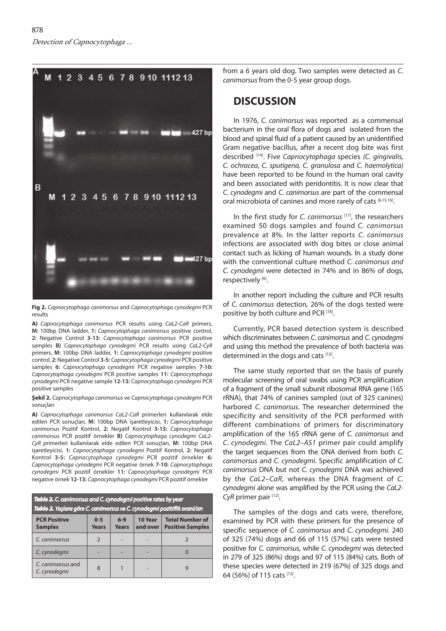

**Fig 2.** *Capnocytophaga canimorsus* and *Capnocytophaga cynodegmi* PCR results

**A)** *Capnocytophaga canimorsus* PCR results using *CaL2-CaR* primers, **M:** 100bp DNA ladder, **1:** *Capnocytophaga canimorsus* positive control, **2:** Negative Control **3-13:** *Capnocytophaga canimorsus* PCR positive samples **B)** *Capnocytophaga cynodegmi* PCR results using *CaL2*-*CyR* primers, **M:** 100bp DNA ladder, **1:** *Capnocytophaga cynodegmi* positive control, **2:**Negative Control **3-5:** *Capnocytophaga cynodegmi* PCR positive samples **6:** *Capnocytophaga cynodegmi* PCR negative samples **7-10:** *Capnocytophaga cynodegmi* PCR positive samples **11:** *Capnocytophaga cynodegmi* PCR negative sample **12-13:** *Capnocytophaga cynodegmi* PCR positive samples

#### **Şekil 2.** *Capnocytophaga canimorsus* ve *Capnocytophaga cynodegmi* PCR sonuçları

**A)** *Capnocytophaga canimorsus CaL2-CaR* primerleri kullanılarak elde edilen PCR sonuçları, **M:** 100bp DNA işaretleyicisi, **1:** *Capnocytophaga canimorsus* Pozitif Kontrol, **2:** Negatif Kontrol **3-13:** *Capnocytophaga canimorsus* PCR pozitif örnekler **B)** *Capnocytophaga cynodegmi CaL2*- *CyR* primerleri kullanılarak elde edilen PCR sonuçları, **M:** 100bp DNA işaretleyicisi, **1:** *Capnocytophaga cynodegmi* Pozitif Kontrol, **2:** Negatif Kontrol **3-5:** *Capnocytophaga cynodegmi* PCR pozitif örnekler **6:** *Capnocytophaga cynodegmi* PCR negative örnek **7-10:** *Capnocytophaga cynodegmi* PCR pozitif örnekler **11:** *Capnocytophaga cynodegmi* PCR negative örnek **12-13:** *Capnocytophaga cynodegmi* PCR pozitif örnekler

| Table 2. C. canimorsus and C. cynodegmi positive rates by year<br>Tablo 2. Yaşlara göre C. canimorsus ve C. cynodegmi pozitiflik oranl/arı |                         |                       |                         |                                                   |  |  |
|--------------------------------------------------------------------------------------------------------------------------------------------|-------------------------|-----------------------|-------------------------|---------------------------------------------------|--|--|
| <b>PCR Positive</b><br><b>Samples</b>                                                                                                      | $0 - 5$<br><b>Years</b> | $6-9$<br><b>Years</b> | 10 Year<br>and over $ $ | <b>Total Number of</b><br><b>Positive Samples</b> |  |  |
| C. canimorsus                                                                                                                              | $\overline{2}$          |                       |                         |                                                   |  |  |
| C. cynodegmi                                                                                                                               |                         |                       |                         |                                                   |  |  |
| C. canimorsus and<br>C. cynodegmi                                                                                                          | 8                       |                       |                         |                                                   |  |  |

from a 6 years old dog. Two samples were detected as *C. canimorsus* from the 0-5 year group dogs.

### **DISCUSSION**

In 1976, *C. canimorsus* was reported as a commensal bacterium in the oral flora of dogs and isolated from the blood and spinal fluid of a patient caused by an unidentified Gram negative bacillus, after a recent dog bite was first described [14]. Five *Capnocytophaga* species *(C. gingivalis, C. ochracea, C. sputigena, C. granulosa* and *C. haemolytica)* have been reported to be found in the human oral cavity and been associated with peridontitis. It is now clear that *C. cynodegmi* and *C. canimorsus* are part of the commensal oral microbiota of canines and more rarely of cats [6,15,16].

In the first study for *C. canimorsus* [17], the researchers examined 50 dogs samples and found *C. canimorsus*  prevalence at 8%*.* In the latter reports *C. canimorsus*  infections are associated with dog bites or close animal contact such as licking of human wounds. In a study done with the conventional culture method *C. canimorsus and C. cynodegmi* were detected in 74% and in 86% of dogs, respectively [6].

In another report including the culture and PCR results of *C. canimorsus* detection*,* 26% of the dogs tested were positive by both culture and PCR<sup>[18]</sup>.

Currently, PCR based detection system is described which discriminates between *C. canimorsus* and *C. cynodegmi* and using this method the prevalence of both bacteria was determined in the dogs and cats [12].

The same study reported that on the basis of purely molecular screening of oral swabs using PCR amplification of a fragment of the small subunit ribosomal RNA gene (16S rRNA), that 74% of canines sampled (out of 325 canines) harbored *C. canimorsus*. The researcher determined the specificity and sensitivity of the PCR performed with different combinations of primers for discriminatory amplification of the 16S rRNA gene of *C. canimorsus* and *C. cynodegmi*. The *CaL2–AS1* primer pair could amplify the target sequences from the DNA derived from both *C. canimorsus* and *C. cynodegmi*. Specific amplification of *C. canimorsus* DNA but not *C. cynodegmi* DNA was achieved by the *CaL2–CaR*, whereas the DNA fragment of *C. cynodegmi* alone was amplified by the PCR using the *CaL2- CyR* primer pair [12].

The samples of the dogs and cats were, therefore, examined by PCR with these primers for the presence of specific sequence of *C. canimorsus* and *C. cynodegmi*. 240 of 325 (74%) dogs and 66 of 115 (57%) cats were tested positive for *C. canimorsus*, while *C. cynodegmi* was detected in 279 of 325 (86%) dogs and 97 of 115 (84%) cats. Both of these species were detected in 219 (67%) of 325 dogs and 64 (56%) of 115 cats [12].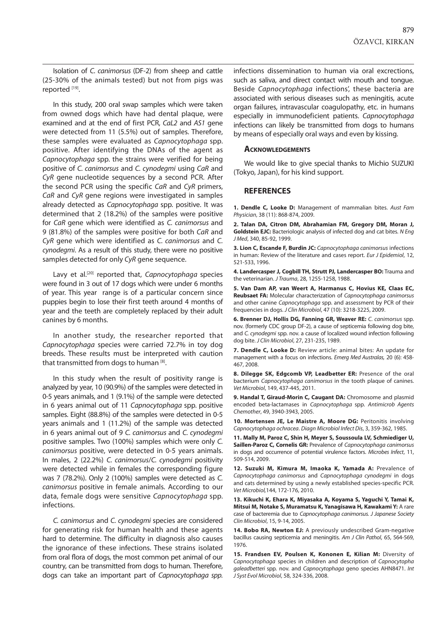Isolation of *C. canimorsus* (DF-2) from sheep and cattle (25-30% of the animals tested) but not from pigs was reported [19].

In this study, 200 oral swap samples which were taken from owned dogs which have had dental plaque, were examined and at the end of first PCR, *CaL2* and *AS1* gene were detected from 11 (5.5%) out of samples. Therefore, these samples were evaluated as *Capnocytophaga* spp. positive. After identifying the DNAs of the agent as *Capnocytophaga* spp. the strains were verified for being positive of *C. canimorsus* and *C. cynodegmi* using *CaR* and *CyR* gene nucleotide sequences by a second PCR. After the second PCR using the specific *CaR* and *CyR* primers, *CaR* and *CyR* gene regions were investigated in samples already detected as *Capnocytophaga* spp. positive. It was determined that 2 (18.2%) of the samples were positive for *CaR* gene which were identified as *C. canimorsus* and 9 (81.8%) of the samples were positive for both *CaR* and *CyR* gene which were identified as *C. canimorsus* and *C. cynodegmi*. As a result of this study, there were no positive samples detected for only *CyR* gene sequence.

Lavy et al.[20] reported that, *Capnocytophaga* species were found in 3 out of 17 dogs which were under 6 months of year. This year range is of a particular concern since puppies begin to lose their first teeth around 4 months of year and the teeth are completely replaced by their adult canines by 6 months.

In another study, the researcher reported that *Capnocytophaga* species were carried 72.7% in toy dog breeds. These results must be interpreted with caution that transmitted from dogs to human  $[8]$ .

In this study when the result of positivity range is analyzed by year, 10 (90.9%) of the samples were detected in 0-5 years animals, and 1 (9.1%) of the sample were detected in 6 years animal out of 11 *Capnocytophaga* spp. positive samples. Eight (88.8%) of the samples were detected in 0-5 years animals and 1 (11.2%) of the sample was detected in 6 years animal out of 9 *C. canimorsus* and *C. cynodegmi*  positive samples. Two (100%) samples which were only *C. canimorsus* positive, were detected in 0-5 years animals. In males, 2 (22.2%) *C. canimorsus*/*C. cynodegmi* positivity were detected while in females the corresponding figure was 7 (78.2%). Only 2 (100%) samples were detected as *C. canimorsus* positive in female animals. According to our data, female dogs were sensitive *Capnocytophaga* spp. infections.

*C. canimorsus* and *C. cynodegmi* species are considered for generating risk for human health and these agents hard to determine. The difficulty in diagnosis also causes the ignorance of these infections. These strains isolated from oral flora of dogs, the most common pet animal of our country, can be transmitted from dogs to human. Therefore, dogs can take an important part of *Capnocytophaga spp.* infections dissemination to human via oral excrections, such as saliva, and direct contact with mouth and tongue. Beside *Capnocytophaga* infections', these bacteria are associated with serious diseases such as meningitis, acute organ failures, intravascular coagulopathy, etc. in humans especially in immunodeficient patients. *Capnocytophaga* infections can likely be transmitted from dogs to humans by means of especially oral ways and even by kissing.

#### **Acknowledgements**

We would like to give special thanks to Michio SUZUKI (Tokyo, Japan), for his kind support.

#### **REFERENCES**

**1. Dendle C, Looke D:** Management of mammalian bites. *Aust Fam Physician*, 38 (11): 868-874, 2009.

**2. Talan DA, Citron DM, Abrahamian FM, Gregory DM, Moran J, Goldstein EJC:** Bacteriologic analysis of infected dog and cat bites. *N Eng J Med*, 340, 85-92, 1999.

**3. Lion C, Escande F, Burdin JC:** *Capnocytophaga canimorsus* infections in human: Review of the literature and cases report. *Eur J Epidemiol*, 12, 521-533, 1996.

**4. Landercasper J, Cogbill TH, Strutt PJ, Landercasper BO:** Trauma and the veterinarian. *J Trauma*, 28, 1255-1258, 1988.

**5. Van Dam AP, van Weert A, Harmanus C, Hovius KE, Claas EC, Reubsaet FA:** Molecular characterization of *Capnocytophaga canimorsus* and other canine *Capnocytophaga* spp. and assessment by PCR of their frequencies in dogs. *J Clin Microbiol*, 47 (10): 3218-3225, 2009.

**6. Brenner DJ, Hollis DG, Fanning GR, Weaver RE:** *C. canimorsus* spp. nov. (formerly CDC group DF-2), a cause of septicemia following dog bite, and *C. cynodegmi* spp. nov. a cause of localized wound infection following dog bite. *J Clin Microbiol*, 27, 231-235, 1989.

**7. Dendle C, Looke D:** Review article: animal bites: An update for management with a focus on infections. *Emerg Med Australas,* 20 (6): 458- 467, 2008.

**8. Dilegge SK, Edgcomb VP, Leadbetter ER:** Presence of the oral bacterium *Capnocytophaga canimorsus* in the tooth plaque of canines. *Vet Microbiol*, 149, 437-445, 2011.

**9. Handal T, Giraud-Morin C, Caugant DA:** Chromosome and plasmid encoded beta-lactamases in *Capnocytophaga* spp. *Antimicrob Agents Chemother*, 49, 3940-3943, 2005.

**10. Mortensen JE, Le Maistre A, Moore DG:** Peritonitis involving *Capnocytophaga ochracea*. *Diagn Microbiol Infect Dis*, 3, 359-362, 1985.

**11. Mally M, Paroz C, Shin H, Meyer S, Soussoula LV, Schmiediger U, Saillen-Paroz C, Cornelis GR:** Prevalence of *Capnocytophaga canimorsus* in dogs and occurrence of potential virulence factors. *Microbes Infect*, 11, 509-514, 2009.

**12. Suzuki M, Kimura M, Imaoka K, Yamada A:** Prevalence of *Capnocytophaga canimorsus* and *Capnocytophaga cynodegmi* in dogs and cats determined by using a newly established species-specific PCR. *Vet Microbiol,*144, 172-176, 2010.

**13. Kikuchi K, Ehara K, Miyasaka A, Koyama S, Yaguchi Y, Tamai K, Mitsui M, Notake S, Muramatsu K, Yanagisawa H, Kawakami Y:** A rare case of bacteremia due to *Capnocytophaga canimorsus. J Japanese Society Clin Microbiol*, 15, 9-14, 2005.

**14. Bobo RA, Newton EJ:** A previously undescribed Gram-negative bacillus causing septicemia and meningitis. *Am J Clin Pathol*, 65, 564-569, 1976.

15. Frandsen EV, Poulsen K, Kononen E, Kilian M: Diversity of *Capnocytophaga* species in children and description of *Capnocytopha galeadbetteri* spp*.* nov. and *Capnocytophaga* geno species AHN8471. *Int J Syst Evol Microbiol*, 58, 324-336, 2008.